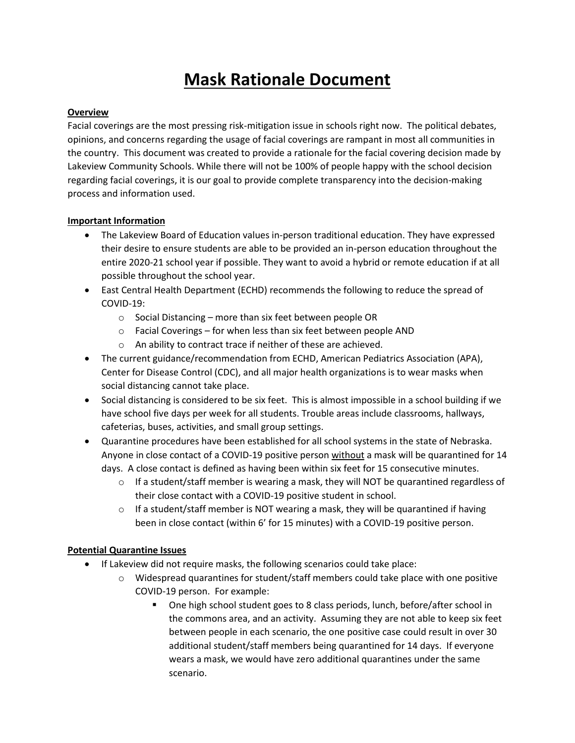# **Mask Rationale Document**

## **Overview**

Facial coverings are the most pressing risk-mitigation issue in schools right now. The political debates, opinions, and concerns regarding the usage of facial coverings are rampant in most all communities in the country. This document was created to provide a rationale for the facial covering decision made by Lakeview Community Schools. While there will not be 100% of people happy with the school decision regarding facial coverings, it is our goal to provide complete transparency into the decision-making process and information used.

### **Important Information**

- The Lakeview Board of Education values in-person traditional education. They have expressed their desire to ensure students are able to be provided an in-person education throughout the entire 2020-21 school year if possible. They want to avoid a hybrid or remote education if at all possible throughout the school year.
- East Central Health Department (ECHD) recommends the following to reduce the spread of COVID-19:
	- $\circ$  Social Distancing more than six feet between people OR
	- o Facial Coverings for when less than six feet between people AND
	- o An ability to contract trace if neither of these are achieved.
- The current guidance/recommendation from ECHD, American Pediatrics Association (APA), Center for Disease Control (CDC), and all major health organizations is to wear masks when social distancing cannot take place.
- Social distancing is considered to be six feet. This is almost impossible in a school building if we have school five days per week for all students. Trouble areas include classrooms, hallways, cafeterias, buses, activities, and small group settings.
- Quarantine procedures have been established for all school systems in the state of Nebraska. Anyone in close contact of a COVID-19 positive person without a mask will be quarantined for 14 days. A close contact is defined as having been within six feet for 15 consecutive minutes.
	- $\circ$  If a student/staff member is wearing a mask, they will NOT be quarantined regardless of their close contact with a COVID-19 positive student in school.
	- $\circ$  If a student/staff member is NOT wearing a mask, they will be quarantined if having been in close contact (within 6' for 15 minutes) with a COVID-19 positive person.

## **Potential Quarantine Issues**

- If Lakeview did not require masks, the following scenarios could take place:
	- $\circ$  Widespread quarantines for student/staff members could take place with one positive COVID-19 person. For example:
		- One high school student goes to 8 class periods, lunch, before/after school in the commons area, and an activity. Assuming they are not able to keep six feet between people in each scenario, the one positive case could result in over 30 additional student/staff members being quarantined for 14 days. If everyone wears a mask, we would have zero additional quarantines under the same scenario.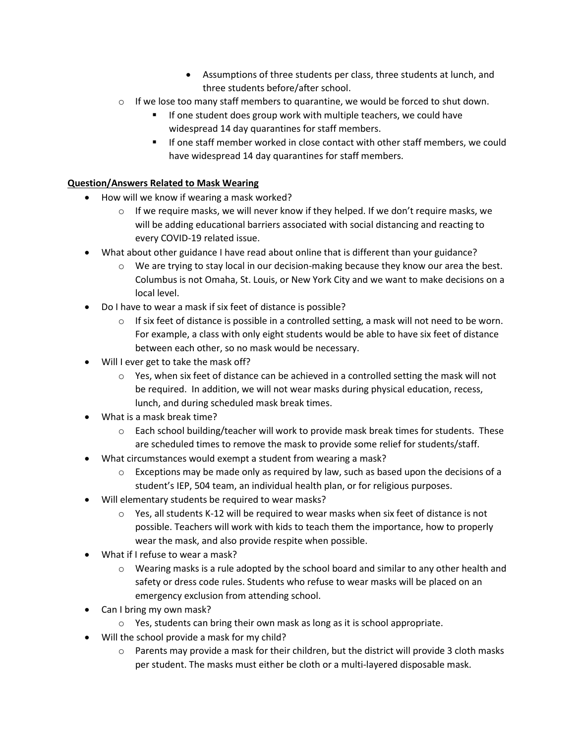- Assumptions of three students per class, three students at lunch, and three students before/after school.
- $\circ$  If we lose too many staff members to quarantine, we would be forced to shut down.
	- **If one student does group work with multiple teachers, we could have** widespread 14 day quarantines for staff members.
	- If one staff member worked in close contact with other staff members, we could have widespread 14 day quarantines for staff members.

### **Question/Answers Related to Mask Wearing**

- How will we know if wearing a mask worked?
	- $\circ$  If we require masks, we will never know if they helped. If we don't require masks, we will be adding educational barriers associated with social distancing and reacting to every COVID-19 related issue.
- What about other guidance I have read about online that is different than your guidance?
	- o We are trying to stay local in our decision-making because they know our area the best. Columbus is not Omaha, St. Louis, or New York City and we want to make decisions on a local level.
- Do I have to wear a mask if six feet of distance is possible?
	- $\circ$  If six feet of distance is possible in a controlled setting, a mask will not need to be worn. For example, a class with only eight students would be able to have six feet of distance between each other, so no mask would be necessary.
- Will I ever get to take the mask off?
	- $\circ$  Yes, when six feet of distance can be achieved in a controlled setting the mask will not be required. In addition, we will not wear masks during physical education, recess, lunch, and during scheduled mask break times.
- What is a mask break time?
	- $\circ$  Each school building/teacher will work to provide mask break times for students. These are scheduled times to remove the mask to provide some relief for students/staff.
- What circumstances would exempt a student from wearing a mask?
	- $\circ$  Exceptions may be made only as required by law, such as based upon the decisions of a student's IEP, 504 team, an individual health plan, or for religious purposes.
- Will elementary students be required to wear masks?
	- o Yes, all students K-12 will be required to wear masks when six feet of distance is not possible. Teachers will work with kids to teach them the importance, how to properly wear the mask, and also provide respite when possible.
- What if I refuse to wear a mask?
	- $\circ$  Wearing masks is a rule adopted by the school board and similar to any other health and safety or dress code rules. Students who refuse to wear masks will be placed on an emergency exclusion from attending school.
- Can I bring my own mask?
	- o Yes, students can bring their own mask as long as it is school appropriate.
- Will the school provide a mask for my child?
	- $\circ$  Parents may provide a mask for their children, but the district will provide 3 cloth masks per student. The masks must either be cloth or a multi-layered disposable mask.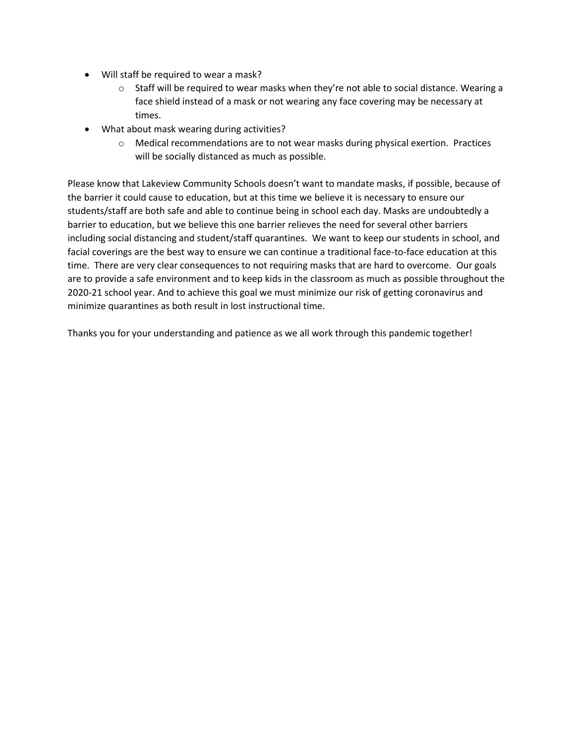- Will staff be required to wear a mask?
	- $\circ$  Staff will be required to wear masks when they're not able to social distance. Wearing a face shield instead of a mask or not wearing any face covering may be necessary at times.
- What about mask wearing during activities?
	- o Medical recommendations are to not wear masks during physical exertion. Practices will be socially distanced as much as possible.

Please know that Lakeview Community Schools doesn't want to mandate masks, if possible, because of the barrier it could cause to education, but at this time we believe it is necessary to ensure our students/staff are both safe and able to continue being in school each day. Masks are undoubtedly a barrier to education, but we believe this one barrier relieves the need for several other barriers including social distancing and student/staff quarantines. We want to keep our students in school, and facial coverings are the best way to ensure we can continue a traditional face-to-face education at this time. There are very clear consequences to not requiring masks that are hard to overcome. Our goals are to provide a safe environment and to keep kids in the classroom as much as possible throughout the 2020-21 school year. And to achieve this goal we must minimize our risk of getting coronavirus and minimize quarantines as both result in lost instructional time.

Thanks you for your understanding and patience as we all work through this pandemic together!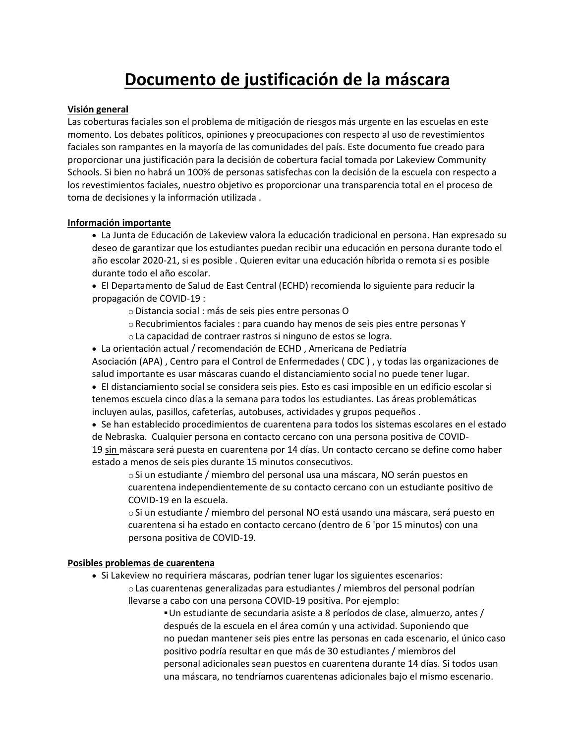# **Documento de justificación de la máscara**

### **Visión general**

Las coberturas faciales son el problema de mitigación de riesgos más urgente en las escuelas en este momento. Los debates políticos, opiniones y preocupaciones con respecto al uso de revestimientos faciales son rampantes en la mayoría de las comunidades del país. Este documento fue creado para proporcionar una justificación para la decisión de cobertura facial tomada por Lakeview Community Schools. Si bien no habrá un 100% de personas satisfechas con la decisión de la escuela con respecto a los revestimientos faciales, nuestro objetivo es proporcionar una transparencia total en el proceso de toma de decisiones y la información utilizada .

#### **Información importante**

- La Junta de Educación de Lakeview valora la educación tradicional en persona. Han expresado su deseo de garantizar que los estudiantes puedan recibir una educación en persona durante todo el año escolar 2020-21, si es posible . Quieren evitar una educación híbrida o remota si es posible durante todo el año escolar.
- El Departamento de Salud de East Central (ECHD) recomienda lo siguiente para reducir la propagación de COVID-19 :
	- oDistancia social : más de seis pies entre personas O
	- $\circ$  Recubrimientos faciales : para cuando hay menos de seis pies entre personas Y
	- oLa capacidad de contraer rastros si ninguno de estos se logra.
- La orientación actual / recomendación de ECHD , Americana de Pediatría

Asociación (APA) , Centro para el Control de Enfermedades ( CDC ) , y todas las organizaciones de salud importante es usar máscaras cuando el distanciamiento social no puede tener lugar.

 El distanciamiento social se considera seis pies. Esto es casi imposible en un edificio escolar si tenemos escuela cinco días a la semana para todos los estudiantes. Las áreas problemáticas incluyen aulas, pasillos, cafeterías, autobuses, actividades y grupos pequeños .

 Se han establecido procedimientos de cuarentena para todos los sistemas escolares en el estado de Nebraska. Cualquier persona en contacto cercano con una persona positiva de COVID-19 sin máscara será puesta en cuarentena por 14 días. Un contacto cercano se define como haber estado a menos de seis pies durante 15 minutos consecutivos.

oSi un estudiante / miembro del personal usa una máscara, NO serán puestos en cuarentena independientemente de su contacto cercano con un estudiante positivo de COVID-19 en la escuela.

 $\circ$ Si un estudiante / miembro del personal NO está usando una máscara, será puesto en cuarentena si ha estado en contacto cercano (dentro de 6 'por 15 minutos) con una persona positiva de COVID-19.

#### **Posibles problemas de cuarentena**

 Si Lakeview no requiriera máscaras, podrían tener lugar los siguientes escenarios: oLas cuarentenas generalizadas para estudiantes / miembros del personal podrían llevarse a cabo con una persona COVID-19 positiva. Por ejemplo:

> Un estudiante de secundaria asiste a 8 períodos de clase, almuerzo, antes / después de la escuela en el área común y una actividad. Suponiendo que no puedan mantener seis pies entre las personas en cada escenario, el único caso positivo podría resultar en que más de 30 estudiantes / miembros del personal adicionales sean puestos en cuarentena durante 14 días. Si todos usan una máscara, no tendríamos cuarentenas adicionales bajo el mismo escenario.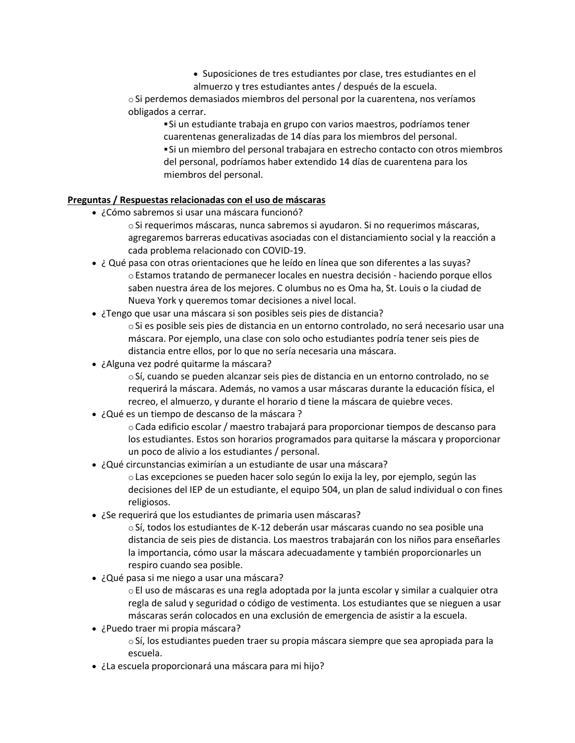Suposiciones de tres estudiantes por clase, tres estudiantes en el almuerzo y tres estudiantes antes / después de la escuela.

 $\circ$ Si perdemos demasiados miembros del personal por la cuarentena, nos veríamos obligados a cerrar.

> Si un estudiante trabaja en grupo con varios maestros, podríamos tener cuarentenas generalizadas de 14 días para los miembros del personal. Si un miembro del personal trabajara en estrecho contacto con otros miembros del personal, podríamos haber extendido 14 días de cuarentena para los miembros del personal.

### **Preguntas / Respuestas relacionadas con el uso de máscaras**

¿Cómo sabremos si usar una máscara funcionó?

 $\circ$ Si requerimos máscaras, nunca sabremos si ayudaron. Si no requerimos máscaras, agregaremos barreras educativas asociadas con el distanciamiento social y la reacción a cada problema relacionado con COVID-19.

- ¿ Qué pasa con otras orientaciones que he leído en línea que son diferentes a las suyas? oEstamos tratando de permanecer locales en nuestra decisión - haciendo porque ellos saben nuestra área de los mejores. C olumbus no es Oma ha, St. Louis o la ciudad de Nueva York y queremos tomar decisiones a nivel local.
- ¿Tengo que usar una máscara si son posibles seis pies de distancia?

oSi es posible seis pies de distancia en un entorno controlado, no será necesario usar una máscara. Por ejemplo, una clase con solo ocho estudiantes podría tener seis pies de distancia entre ellos, por lo que no sería necesaria una máscara.

¿Alguna vez podré quitarme la máscara?

oSí, cuando se pueden alcanzar seis pies de distancia en un entorno controlado, no se requerirá la máscara. Además, no vamos a usar máscaras durante la educación física, el recreo, el almuerzo, y durante el horario d tiene la máscara de quiebre veces.

¿Qué es un tiempo de descanso de la máscara ?

oCada edificio escolar / maestro trabajará para proporcionar tiempos de descanso para los estudiantes. Estos son horarios programados para quitarse la máscara y proporcionar un poco de alivio a los estudiantes / personal.

¿Qué circunstancias eximirían a un estudiante de usar una máscara?

oLas excepciones se pueden hacer solo según lo exija la ley, por ejemplo, según las decisiones del IEP de un estudiante, el equipo 504, un plan de salud individual o con fines religiosos.

¿Se requerirá que los estudiantes de primaria usen máscaras?

 $\circ$ Sí, todos los estudiantes de K-12 deberán usar máscaras cuando no sea posible una distancia de seis pies de distancia. Los maestros trabajarán con los niños para enseñarles la importancia, cómo usar la máscara adecuadamente y también proporcionarles un respiro cuando sea posible.

¿Qué pasa si me niego a usar una máscara?

oEl uso de máscaras es una regla adoptada por la junta escolar y similar a cualquier otra regla de salud y seguridad o código de vestimenta. Los estudiantes que se nieguen a usar máscaras serán colocados en una exclusión de emergencia de asistir a la escuela.

¿Puedo traer mi propia máscara?

oSí, los estudiantes pueden traer su propia máscara siempre que sea apropiada para la escuela.

¿La escuela proporcionará una máscara para mi hijo?